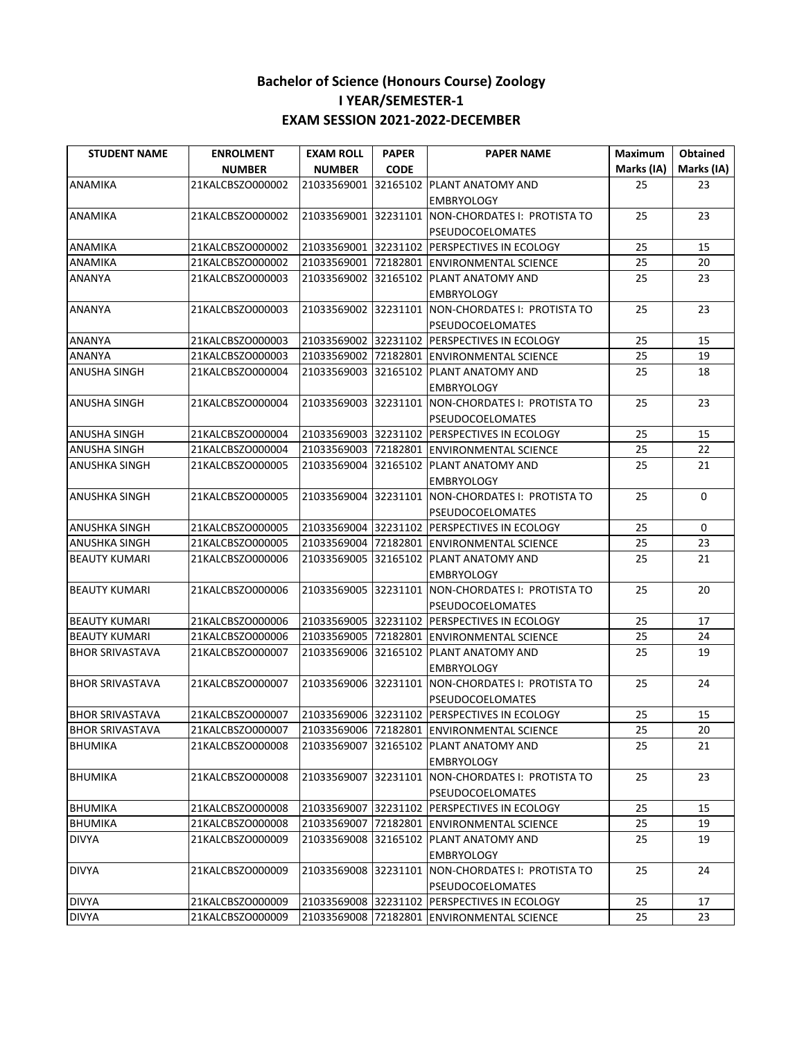| <b>STUDENT NAME</b>    | <b>ENROLMENT</b> | <b>EXAM ROLL</b> | <b>PAPER</b> | <b>PAPER NAME</b>                                                            | Maximum    | <b>Obtained</b> |
|------------------------|------------------|------------------|--------------|------------------------------------------------------------------------------|------------|-----------------|
|                        | <b>NUMBER</b>    | <b>NUMBER</b>    | <b>CODE</b>  |                                                                              | Marks (IA) | Marks (IA)      |
| <b>ANAMIKA</b>         | 21KALCBSZO000002 |                  |              | 21033569001 32165102 PLANT ANATOMY AND<br><b>EMBRYOLOGY</b>                  | 25         | 23              |
| ANAMIKA                | 21KALCBSZO000002 |                  |              | 21033569001 32231101 NON-CHORDATES I: PROTISTA TO<br><b>PSEUDOCOELOMATES</b> | 25         | 23              |
| ANAMIKA                | 21KALCBSZO000002 |                  |              | 21033569001 32231102 PERSPECTIVES IN ECOLOGY                                 | 25         | 15              |
| ANAMIKA                | 21KALCBSZO000002 |                  |              | 21033569001 72182801 ENVIRONMENTAL SCIENCE                                   | 25         | 20              |
| ANANYA                 | 21KALCBSZO000003 |                  |              | 21033569002 32165102 PLANT ANATOMY AND<br><b>EMBRYOLOGY</b>                  | 25         | 23              |
| ANANYA                 | 21KALCBSZO000003 |                  |              | 21033569002 32231101 NON-CHORDATES I: PROTISTA TO<br><b>PSEUDOCOELOMATES</b> | 25         | 23              |
| <b>ANANYA</b>          | 21KALCBSZO000003 |                  |              | 21033569002 32231102 PERSPECTIVES IN ECOLOGY                                 | 25         | 15              |
| <b>ANANYA</b>          | 21KALCBSZO000003 |                  |              | 21033569002 72182801 ENVIRONMENTAL SCIENCE                                   | 25         | 19              |
| ANUSHA SINGH           | 21KALCBSZO000004 |                  |              | 21033569003 32165102 PLANT ANATOMY AND<br><b>EMBRYOLOGY</b>                  | 25         | 18              |
| ANUSHA SINGH           | 21KALCBSZO000004 |                  |              | 21033569003 32231101 NON-CHORDATES I: PROTISTA TO<br>PSEUDOCOELOMATES        | 25         | 23              |
| ANUSHA SINGH           | 21KALCBSZO000004 |                  |              | 21033569003 32231102 PERSPECTIVES IN ECOLOGY                                 | 25         | 15              |
| ANUSHA SINGH           | 21KALCBSZO000004 |                  |              | 21033569003 72182801 ENVIRONMENTAL SCIENCE                                   | 25         | 22              |
| ANUSHKA SINGH          | 21KALCBSZO000005 |                  |              | 21033569004 32165102 PLANT ANATOMY AND<br><b>EMBRYOLOGY</b>                  | 25         | 21              |
| <b>ANUSHKA SINGH</b>   | 21KALCBSZO000005 |                  |              | 21033569004 32231101 NON-CHORDATES I: PROTISTA TO<br><b>PSEUDOCOELOMATES</b> | 25         | 0               |
| <b>ANUSHKA SINGH</b>   | 21KALCBSZO000005 |                  |              | 21033569004 32231102 PERSPECTIVES IN ECOLOGY                                 | 25         | $\mathbf 0$     |
| ANUSHKA SINGH          | 21KALCBSZO000005 |                  |              | 21033569004 72182801 ENVIRONMENTAL SCIENCE                                   | 25         | 23              |
| <b>BEAUTY KUMARI</b>   | 21KALCBSZO000006 |                  |              | 21033569005 32165102 PLANT ANATOMY AND<br><b>EMBRYOLOGY</b>                  | 25         | 21              |
| <b>BEAUTY KUMARI</b>   | 21KALCBSZO000006 |                  |              | 21033569005 32231101 NON-CHORDATES I: PROTISTA TO<br><b>PSEUDOCOELOMATES</b> | 25         | 20              |
| <b>BEAUTY KUMARI</b>   | 21KALCBSZO000006 |                  |              | 21033569005 32231102 PERSPECTIVES IN ECOLOGY                                 | 25         | 17              |
| <b>BEAUTY KUMARI</b>   | 21KALCBSZO000006 |                  |              | 21033569005 72182801 ENVIRONMENTAL SCIENCE                                   | 25         | 24              |
| <b>BHOR SRIVASTAVA</b> | 21KALCBSZO000007 |                  |              | 21033569006 32165102 PLANT ANATOMY AND<br><b>EMBRYOLOGY</b>                  | 25         | 19              |
| <b>BHOR SRIVASTAVA</b> | 21KALCBSZO000007 |                  |              | 21033569006 32231101 NON-CHORDATES I: PROTISTA TO<br>PSEUDOCOELOMATES        | 25         | 24              |
| <b>BHOR SRIVASTAVA</b> | 21KALCBSZO000007 |                  |              | 21033569006 32231102 PERSPECTIVES IN ECOLOGY                                 | 25         | 15              |
| <b>BHOR SRIVASTAVA</b> |                  |                  |              | 21KALCBSZO000007 21033569006 72182801 ENVIRONMENTAL SCIENCE                  | 25         | $20\,$          |
| <b>BHUMIKA</b>         | 21KALCBSZO000008 |                  |              | 21033569007 32165102 PLANT ANATOMY AND<br><b>EMBRYOLOGY</b>                  | 25         | 21              |
| <b>BHUMIKA</b>         | 21KALCBSZO000008 |                  |              | 21033569007 32231101 NON-CHORDATES I: PROTISTA TO<br>PSEUDOCOELOMATES        | 25         | 23              |
| <b>BHUMIKA</b>         | 21KALCBSZO000008 |                  |              | 21033569007 32231102 PERSPECTIVES IN ECOLOGY                                 | 25         | 15              |
| <b>BHUMIKA</b>         | 21KALCBSZO000008 |                  |              | 21033569007 72182801 ENVIRONMENTAL SCIENCE                                   | 25         | 19              |
| <b>DIVYA</b>           | 21KALCBSZO000009 |                  |              | 21033569008 32165102 PLANT ANATOMY AND<br><b>EMBRYOLOGY</b>                  | 25         | 19              |
| <b>DIVYA</b>           | 21KALCBSZO000009 |                  |              | 21033569008 32231101 NON-CHORDATES I: PROTISTA TO<br>PSEUDOCOELOMATES        | 25         | 24              |
| <b>DIVYA</b>           | 21KALCBSZO000009 |                  |              | 21033569008 32231102 PERSPECTIVES IN ECOLOGY                                 | 25         | 17              |
| <b>DIVYA</b>           | 21KALCBSZO000009 |                  |              | 21033569008 72182801 ENVIRONMENTAL SCIENCE                                   | 25         | 23              |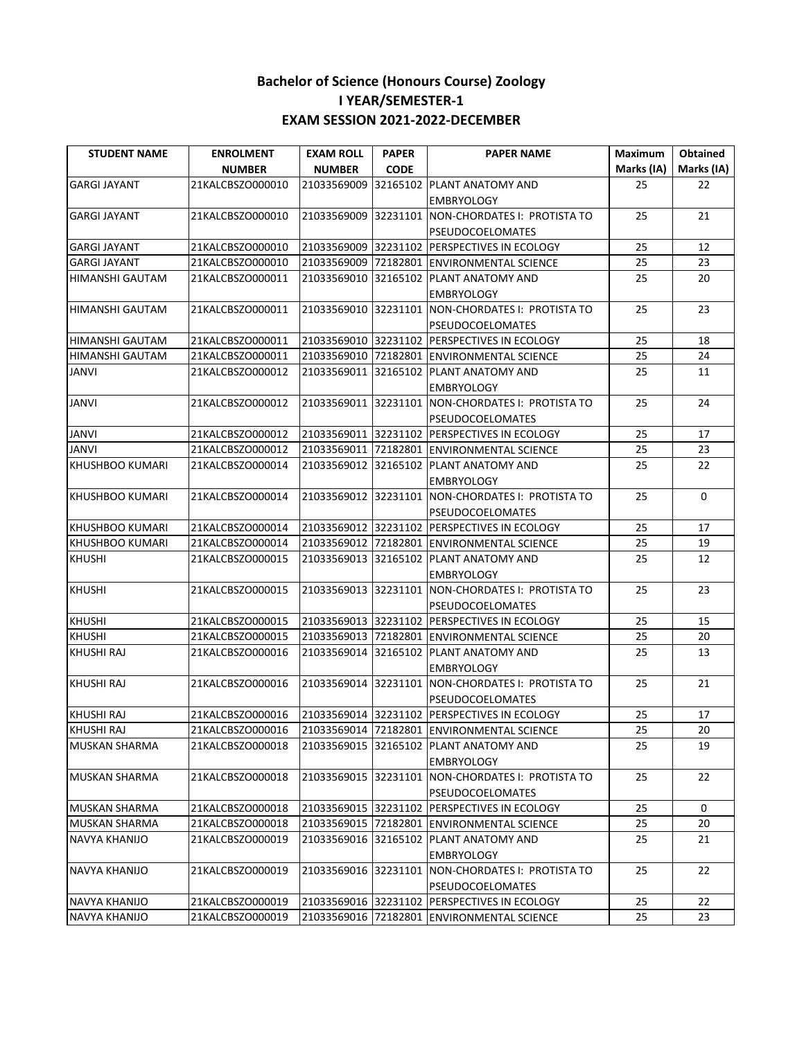| <b>STUDENT NAME</b>    | <b>ENROLMENT</b> | <b>EXAM ROLL</b> | <b>PAPER</b> | <b>PAPER NAME</b>                                                     | Maximum    | <b>Obtained</b> |
|------------------------|------------------|------------------|--------------|-----------------------------------------------------------------------|------------|-----------------|
|                        | <b>NUMBER</b>    | <b>NUMBER</b>    | <b>CODE</b>  |                                                                       | Marks (IA) | Marks (IA)      |
| <b>GARGI JAYANT</b>    | 21KALCBSZO000010 |                  |              | 21033569009 32165102 PLANT ANATOMY AND                                | 25         | 22              |
|                        |                  |                  |              | <b>EMBRYOLOGY</b>                                                     |            |                 |
| <b>GARGI JAYANT</b>    | 21KALCBSZO000010 |                  |              | 21033569009 32231101 NON-CHORDATES I: PROTISTA TO                     | 25         | 21              |
|                        |                  |                  |              | PSEUDOCOELOMATES                                                      |            |                 |
| <b>GARGI JAYANT</b>    | 21KALCBSZO000010 |                  |              | 21033569009 32231102 PERSPECTIVES IN ECOLOGY                          | 25         | 12              |
| <b>GARGI JAYANT</b>    | 21KALCBSZO000010 |                  |              | 21033569009 72182801 ENVIRONMENTAL SCIENCE                            | 25         | 23              |
| HIMANSHI GAUTAM        | 21KALCBSZO000011 |                  |              | 21033569010 32165102 PLANT ANATOMY AND<br><b>EMBRYOLOGY</b>           | 25         | 20              |
| <b>HIMANSHI GAUTAM</b> | 21KALCBSZO000011 |                  |              | 21033569010 32231101 NON-CHORDATES I: PROTISTA TO                     | 25         | 23              |
| <b>HIMANSHI GAUTAM</b> | 21KALCBSZO000011 |                  |              | PSEUDOCOELOMATES<br>21033569010 32231102 PERSPECTIVES IN ECOLOGY      | 25         | 18              |
|                        |                  |                  |              |                                                                       | 25         | 24              |
| HIMANSHI GAUTAM        | 21KALCBSZO000011 |                  |              | 21033569010 72182801 ENVIRONMENTAL SCIENCE                            |            |                 |
| <b>JANVI</b>           | 21KALCBSZO000012 |                  |              | 21033569011 32165102 PLANT ANATOMY AND                                | 25         | 11              |
|                        |                  |                  |              | <b>EMBRYOLOGY</b>                                                     |            |                 |
| <b>JANVI</b>           | 21KALCBSZO000012 |                  |              | 21033569011 32231101 NON-CHORDATES I: PROTISTA TO                     | 25         | 24              |
|                        |                  |                  |              | <b>PSEUDOCOELOMATES</b>                                               |            |                 |
| <b>JANVI</b>           | 21KALCBSZO000012 |                  |              | 21033569011 32231102 PERSPECTIVES IN ECOLOGY                          | 25         | 17              |
| <b>JANVI</b>           | 21KALCBSZO000012 |                  |              | 21033569011 72182801 ENVIRONMENTAL SCIENCE                            | 25         | 23              |
| <b>KHUSHBOO KUMARI</b> | 21KALCBSZO000014 |                  |              | 21033569012 32165102 PLANT ANATOMY AND                                | 25         | 22              |
|                        |                  |                  |              | <b>EMBRYOLOGY</b>                                                     |            |                 |
| KHUSHBOO KUMARI        | 21KALCBSZO000014 |                  |              | 21033569012 32231101 NON-CHORDATES I: PROTISTA TO                     | 25         | $\Omega$        |
|                        |                  |                  |              | <b>PSEUDOCOELOMATES</b>                                               |            |                 |
| <b>KHUSHBOO KUMARI</b> | 21KALCBSZO000014 |                  |              | 21033569012 32231102 PERSPECTIVES IN ECOLOGY                          | 25         | 17              |
| KHUSHBOO KUMARI        | 21KALCBSZO000014 |                  |              | 21033569012 72182801 ENVIRONMENTAL SCIENCE                            | 25         | 19              |
| <b>KHUSHI</b>          | 21KALCBSZO000015 |                  |              | 21033569013 32165102 PLANT ANATOMY AND                                | 25         | 12              |
|                        |                  |                  |              | <b>EMBRYOLOGY</b>                                                     |            |                 |
| <b>KHUSHI</b>          | 21KALCBSZO000015 |                  |              | 21033569013 32231101 NON-CHORDATES I: PROTISTA TO<br>PSEUDOCOELOMATES | 25         | 23              |
| <b>KHUSHI</b>          | 21KALCBSZO000015 |                  |              | 21033569013 32231102 PERSPECTIVES IN ECOLOGY                          | 25         | 15              |
| <b>KHUSHI</b>          | 21KALCBSZO000015 |                  |              | 21033569013 72182801 ENVIRONMENTAL SCIENCE                            | 25         | 20              |
| <b>KHUSHI RAJ</b>      | 21KALCBSZO000016 |                  |              | 21033569014 32165102 PLANT ANATOMY AND                                | 25         | 13              |
|                        |                  |                  |              | <b>EMBRYOLOGY</b>                                                     |            |                 |
| <b>KHUSHI RAJ</b>      | 21KALCBSZO000016 |                  |              | 21033569014 32231101 NON-CHORDATES I: PROTISTA TO                     | 25         | 21              |
|                        |                  |                  |              | PSEUDOCOELOMATES                                                      |            |                 |
| <b>KHUSHI RAJ</b>      | 21KALCBSZO000016 |                  |              | 21033569014 32231102 PERSPECTIVES IN ECOLOGY                          | 25         | 17              |
| <b>KHUSHI RAJ</b>      | 21KALCBSZO000016 |                  |              | 21033569014 72182801 ENVIRONMENTAL SCIENCE                            | 25         | 20              |
| <b>MUSKAN SHARMA</b>   | 21KALCBSZO000018 |                  |              | 21033569015 32165102 PLANT ANATOMY AND<br><b>EMBRYOLOGY</b>           | 25         | 19              |
| <b>MUSKAN SHARMA</b>   | 21KALCBSZO000018 |                  |              | 21033569015 32231101 NON-CHORDATES I: PROTISTA TO                     | 25         | 22              |
|                        |                  |                  |              | PSEUDOCOELOMATES                                                      |            |                 |
| <b>MUSKAN SHARMA</b>   | 21KALCBSZO000018 |                  |              | 21033569015 32231102 PERSPECTIVES IN ECOLOGY                          | 25         | 0               |
| <b>MUSKAN SHARMA</b>   | 21KALCBSZO000018 |                  |              | 21033569015 72182801 ENVIRONMENTAL SCIENCE                            | 25         | 20              |
| NAVYA KHANIJO          | 21KALCBSZO000019 |                  |              | 21033569016 32165102 PLANT ANATOMY AND<br><b>EMBRYOLOGY</b>           | 25         | 21              |
| <b>NAVYA KHANIJO</b>   | 21KALCBSZO000019 |                  |              | 21033569016 32231101 NON-CHORDATES I: PROTISTA TO                     | 25         | 22              |
|                        |                  |                  |              | PSEUDOCOELOMATES                                                      |            |                 |
| <b>NAVYA KHANIJO</b>   | 21KALCBSZO000019 |                  |              | 21033569016 32231102 PERSPECTIVES IN ECOLOGY                          | 25         | 22              |
| <b>NAVYA KHANIJO</b>   | 21KALCBSZO000019 |                  |              | 21033569016 72182801 ENVIRONMENTAL SCIENCE                            | 25         | 23              |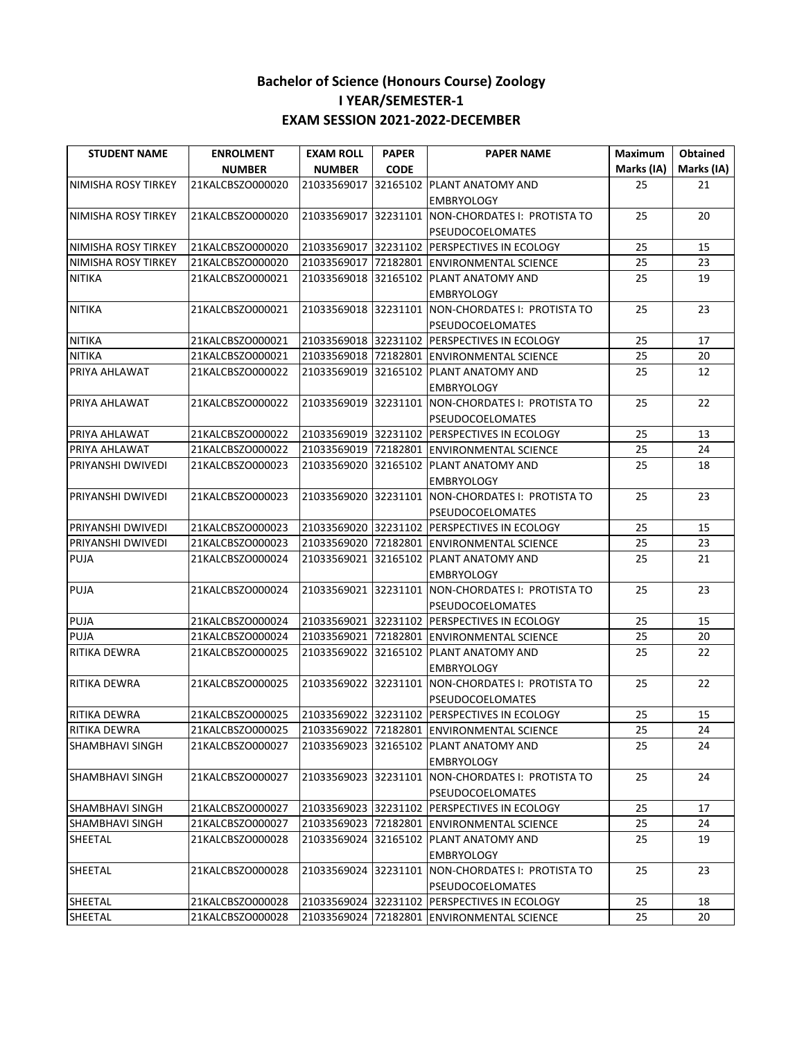| <b>STUDENT NAME</b>    | <b>ENROLMENT</b> | <b>EXAM ROLL</b> | <b>PAPER</b> | <b>PAPER NAME</b>                                 | Maximum    | <b>Obtained</b> |
|------------------------|------------------|------------------|--------------|---------------------------------------------------|------------|-----------------|
|                        | <b>NUMBER</b>    | <b>NUMBER</b>    | <b>CODE</b>  |                                                   | Marks (IA) | Marks (IA)      |
| NIMISHA ROSY TIRKEY    | 21KALCBSZO000020 | 21033569017      |              | 32165102 PLANT ANATOMY AND                        | 25         | 21              |
|                        |                  |                  |              | <b>EMBRYOLOGY</b>                                 |            |                 |
| NIMISHA ROSY TIRKEY    | 21KALCBSZO000020 |                  |              | 21033569017 32231101 NON-CHORDATES I: PROTISTA TO | 25         | 20              |
|                        |                  |                  |              | PSEUDOCOELOMATES                                  |            |                 |
| NIMISHA ROSY TIRKEY    | 21KALCBSZO000020 |                  |              | 21033569017 32231102 PERSPECTIVES IN ECOLOGY      | 25         | 15              |
| NIMISHA ROSY TIRKEY    | 21KALCBSZO000020 |                  |              | 21033569017 72182801 ENVIRONMENTAL SCIENCE        | 25         | 23              |
| <b>NITIKA</b>          | 21KALCBSZO000021 |                  |              | 21033569018 32165102 PLANT ANATOMY AND            | 25         | 19              |
|                        |                  |                  |              | <b>EMBRYOLOGY</b>                                 |            |                 |
| <b>NITIKA</b>          | 21KALCBSZO000021 |                  |              | 21033569018 32231101 NON-CHORDATES I: PROTISTA TO | 25         | 23              |
|                        |                  |                  |              | PSEUDOCOELOMATES                                  |            |                 |
| <b>NITIKA</b>          | 21KALCBSZO000021 |                  |              | 21033569018 32231102 PERSPECTIVES IN ECOLOGY      | 25         | 17              |
| <b>NITIKA</b>          | 21KALCBSZO000021 |                  |              | 21033569018 72182801 ENVIRONMENTAL SCIENCE        | 25         | 20              |
| PRIYA AHLAWAT          | 21KALCBSZO000022 |                  |              | 21033569019 32165102 PLANT ANATOMY AND            | 25         | 12              |
|                        |                  |                  |              | <b>EMBRYOLOGY</b>                                 |            |                 |
| PRIYA AHLAWAT          | 21KALCBSZO000022 |                  |              | 21033569019 32231101 NON-CHORDATES I: PROTISTA TO | 25         | 22              |
|                        |                  |                  |              | PSEUDOCOELOMATES                                  |            |                 |
| PRIYA AHLAWAT          | 21KALCBSZO000022 |                  |              | 21033569019 32231102 PERSPECTIVES IN ECOLOGY      | 25         | 13              |
| PRIYA AHLAWAT          | 21KALCBSZO000022 |                  |              | 21033569019 72182801 ENVIRONMENTAL SCIENCE        | 25         | 24              |
| PRIYANSHI DWIVEDI      | 21KALCBSZO000023 |                  |              | 21033569020 32165102 PLANT ANATOMY AND            | 25         | 18              |
|                        |                  |                  |              | <b>EMBRYOLOGY</b>                                 |            |                 |
| PRIYANSHI DWIVEDI      | 21KALCBSZO000023 |                  |              | 21033569020 32231101 NON-CHORDATES I: PROTISTA TO | 25         | 23              |
|                        |                  |                  |              | <b>PSEUDOCOELOMATES</b>                           |            |                 |
| PRIYANSHI DWIVEDI      | 21KALCBSZO000023 |                  |              | 21033569020 32231102 PERSPECTIVES IN ECOLOGY      | 25         | 15              |
| PRIYANSHI DWIVEDI      | 21KALCBSZO000023 |                  |              | 21033569020 72182801 ENVIRONMENTAL SCIENCE        | 25         | 23              |
| <b>PUJA</b>            | 21KALCBSZO000024 |                  |              | 21033569021 32165102 PLANT ANATOMY AND            | 25         | 21              |
|                        |                  |                  |              | <b>EMBRYOLOGY</b>                                 |            |                 |
| PUJA                   | 21KALCBSZO000024 |                  |              | 21033569021 32231101 NON-CHORDATES I: PROTISTA TO | 25         | 23              |
|                        |                  |                  |              | PSEUDOCOELOMATES                                  |            |                 |
| PUJA                   | 21KALCBSZO000024 |                  |              | 21033569021 32231102 PERSPECTIVES IN ECOLOGY      | 25         | 15              |
| PUJA                   | 21KALCBSZO000024 |                  |              | 21033569021 72182801 ENVIRONMENTAL SCIENCE        | 25         | 20              |
| RITIKA DEWRA           | 21KALCBSZO000025 | 21033569022      |              | 32165102 PLANT ANATOMY AND                        | 25         | 22              |
|                        |                  |                  |              | <b>EMBRYOLOGY</b>                                 |            |                 |
| RITIKA DEWRA           | 21KALCBSZO000025 |                  |              | 21033569022 32231101 NON-CHORDATES I: PROTISTA TO | 25         | 22              |
|                        |                  |                  |              | PSEUDOCOELOMATES                                  |            |                 |
| RITIKA DEWRA           | 21KALCBSZO000025 |                  |              | 21033569022 32231102 PERSPECTIVES IN ECOLOGY      | 25         | 15              |
| RITIKA DEWRA           | 21KALCBSZO000025 |                  |              | 21033569022 72182801 ENVIRONMENTAL SCIENCE        | 25         | 24              |
| <b>SHAMBHAVI SINGH</b> | 21KALCBSZO000027 |                  |              | 21033569023 32165102 PLANT ANATOMY AND            | 25         | 24              |
|                        |                  |                  |              | <b>EMBRYOLOGY</b>                                 |            |                 |
| SHAMBHAVI SINGH        | 21KALCBSZO000027 |                  |              | 21033569023 32231101 NON-CHORDATES I: PROTISTA TO | 25         | 24              |
|                        |                  |                  |              | <b>PSEUDOCOELOMATES</b>                           |            |                 |
| SHAMBHAVI SINGH        | 21KALCBSZO000027 |                  |              | 21033569023 32231102 PERSPECTIVES IN ECOLOGY      | 25         | 17              |
| SHAMBHAVI SINGH        | 21KALCBSZO000027 |                  |              | 21033569023 72182801 ENVIRONMENTAL SCIENCE        | 25         | 24              |
| SHEETAL                | 21KALCBSZO000028 |                  |              | 21033569024 32165102 PLANT ANATOMY AND            | 25         | 19              |
|                        |                  |                  |              | <b>EMBRYOLOGY</b>                                 |            |                 |
| SHEETAL                | 21KALCBSZO000028 |                  |              | 21033569024 32231101 NON-CHORDATES I: PROTISTA TO | 25         | 23              |
|                        |                  |                  |              | <b>PSEUDOCOELOMATES</b>                           |            |                 |
| <b>SHEETAL</b>         | 21KALCBSZO000028 |                  |              | 21033569024 32231102 PERSPECTIVES IN ECOLOGY      | 25         | 18              |
| SHEETAL                | 21KALCBSZO000028 |                  |              | 21033569024 72182801 ENVIRONMENTAL SCIENCE        | 25         | 20              |